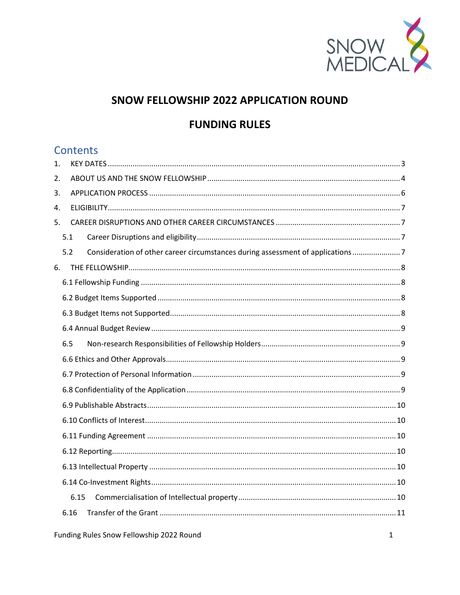

# SNOW FELLOWSHIP 2022 APPLICATION ROUND

# **FUNDING RULES**

# **Contents**

| 1. |                                                                                       |  |  |
|----|---------------------------------------------------------------------------------------|--|--|
| 2. |                                                                                       |  |  |
| 3. |                                                                                       |  |  |
| 4. |                                                                                       |  |  |
| 5. |                                                                                       |  |  |
|    | 5.1                                                                                   |  |  |
|    | Consideration of other career circumstances during assessment of applications7<br>5.2 |  |  |
| 6. |                                                                                       |  |  |
|    |                                                                                       |  |  |
|    |                                                                                       |  |  |
|    |                                                                                       |  |  |
|    |                                                                                       |  |  |
|    | 6.5                                                                                   |  |  |
|    |                                                                                       |  |  |
|    |                                                                                       |  |  |
|    |                                                                                       |  |  |
|    |                                                                                       |  |  |
|    |                                                                                       |  |  |
|    |                                                                                       |  |  |
|    |                                                                                       |  |  |
|    |                                                                                       |  |  |
|    |                                                                                       |  |  |
|    | 6.15                                                                                  |  |  |
|    | 6.16                                                                                  |  |  |
|    |                                                                                       |  |  |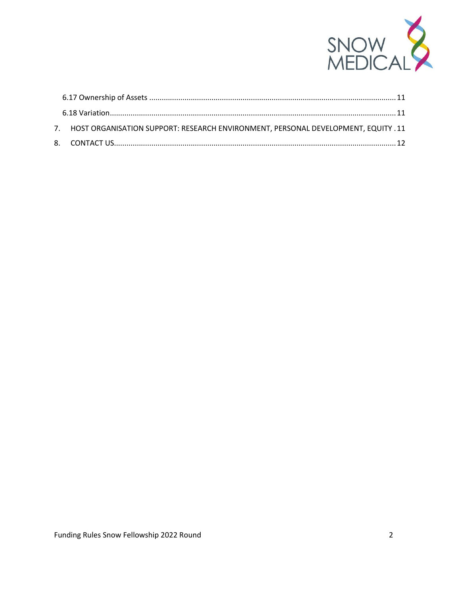

|  | 7. HOST ORGANISATION SUPPORT: RESEARCH ENVIRONMENT, PERSONAL DEVELOPMENT, EQUITY . 11 |  |
|--|---------------------------------------------------------------------------------------|--|
|  |                                                                                       |  |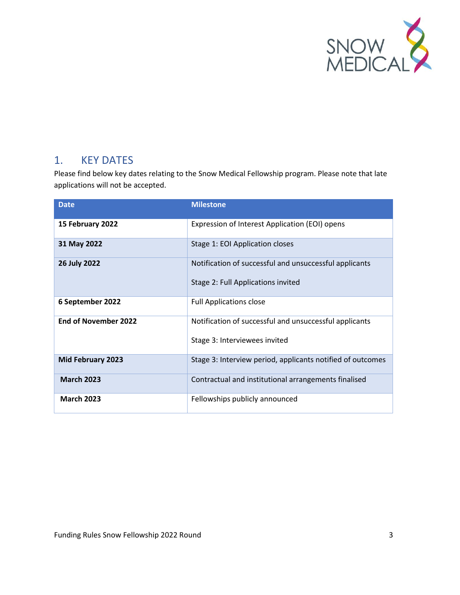

## <span id="page-2-0"></span>1. KEY DATES

Please find below key dates relating to the Snow Medical Fellowship program. Please note that late applications will not be accepted.

| <b>Date</b>                 | <b>Milestone</b>                                                                             |
|-----------------------------|----------------------------------------------------------------------------------------------|
| 15 February 2022            | Expression of Interest Application (EOI) opens                                               |
| 31 May 2022                 | Stage 1: EOI Application closes                                                              |
| 26 July 2022                | Notification of successful and unsuccessful applicants<br>Stage 2: Full Applications invited |
| 6 September 2022            | <b>Full Applications close</b>                                                               |
| <b>End of November 2022</b> | Notification of successful and unsuccessful applicants<br>Stage 3: Interviewees invited      |
| Mid February 2023           | Stage 3: Interview period, applicants notified of outcomes                                   |
| <b>March 2023</b>           | Contractual and institutional arrangements finalised                                         |
| <b>March 2023</b>           | Fellowships publicly announced                                                               |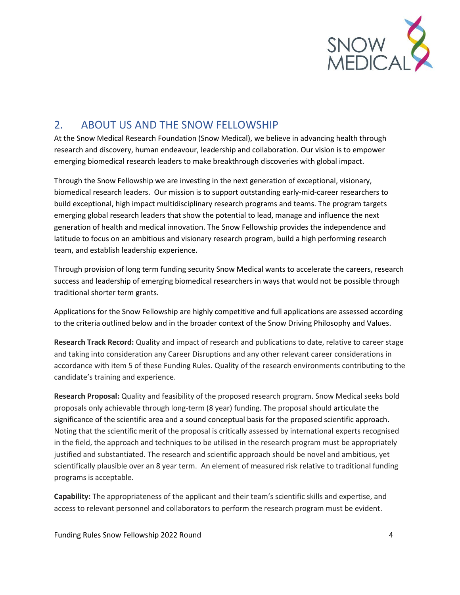

## <span id="page-3-0"></span>2. ABOUT US AND THE SNOW FELLOWSHIP

At the Snow Medical Research Foundation (Snow Medical), we believe in advancing health through research and discovery, human endeavour, leadership and collaboration. Our vision is to empower emerging biomedical research leaders to make breakthrough discoveries with global impact.

Through the Snow Fellowship we are investing in the next generation of exceptional, visionary, biomedical research leaders. Our mission is to support outstanding early-mid-career researchers to build exceptional, high impact multidisciplinary research programs and teams. The program targets emerging global research leaders that show the potential to lead, manage and influence the next generation of health and medical innovation. The Snow Fellowship provides the independence and latitude to focus on an ambitious and visionary research program, build a high performing research team, and establish leadership experience.

Through provision of long term funding security Snow Medical wants to accelerate the careers, research success and leadership of emerging biomedical researchers in ways that would not be possible through traditional shorter term grants.

Applications for the Snow Fellowship are highly competitive and full applications are assessed according to the criteria outlined below and in the broader context of the Snow Driving Philosophy and Values.

**Research Track Record:** Quality and impact of research and publications to date, relative to career stage and taking into consideration any Career Disruptions and any other relevant career considerations in accordance with item 5 of these Funding Rules. Quality of the research environments contributing to the candidate's training and experience.

**Research Proposal:** Quality and feasibility of the proposed research program. Snow Medical seeks bold proposals only achievable through long-term (8 year) funding. The proposal should articulate the significance of the scientific area and a sound conceptual basis for the proposed scientific approach. Noting that the scientific merit of the proposal is critically assessed by international experts recognised in the field, the approach and techniques to be utilised in the research program must be appropriately justified and substantiated. The research and scientific approach should be novel and ambitious, yet scientifically plausible over an 8 year term. An element of measured risk relative to traditional funding programs is acceptable.

**Capability:** The appropriateness of the applicant and their team's scientific skills and expertise, and access to relevant personnel and collaborators to perform the research program must be evident.

Funding Rules Snow Fellowship 2022 Round 4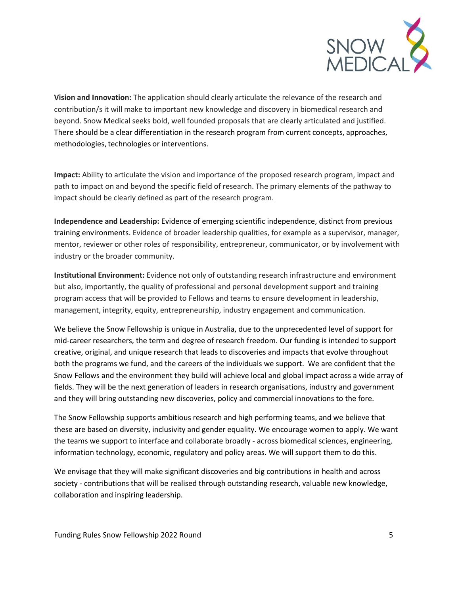

**Vision and Innovation:** The application should clearly articulate the relevance of the research and contribution/s it will make to important new knowledge and discovery in biomedical research and beyond. Snow Medical seeks bold, well founded proposals that are clearly articulated and justified. There should be a clear differentiation in the research program from current concepts, approaches, methodologies, technologies or interventions.

**Impact:** Ability to articulate the vision and importance of the proposed research program, impact and path to impact on and beyond the specific field of research. The primary elements of the pathway to impact should be clearly defined as part of the research program.

**Independence and Leadership:** Evidence of emerging scientific independence, distinct from previous training environments. Evidence of broader leadership qualities, for example as a supervisor, manager, mentor, reviewer or other roles of responsibility, entrepreneur, communicator, or by involvement with industry or the broader community.

**Institutional Environment:** Evidence not only of outstanding research infrastructure and environment but also, importantly, the quality of professional and personal development support and training program access that will be provided to Fellows and teams to ensure development in leadership, management, integrity, equity, entrepreneurship, industry engagement and communication.

We believe the Snow Fellowship is unique in Australia, due to the unprecedented level of support for mid-career researchers, the term and degree of research freedom. Our funding is intended to support creative, original, and unique research that leads to discoveries and impacts that evolve throughout both the programs we fund, and the careers of the individuals we support. We are confident that the Snow Fellows and the environment they build will achieve local and global impact across a wide array of fields. They will be the next generation of leaders in research organisations, industry and government and they will bring outstanding new discoveries, policy and commercial innovations to the fore.

The Snow Fellowship supports ambitious research and high performing teams, and we believe that these are based on diversity, inclusivity and gender equality. We encourage women to apply. We want the teams we support to interface and collaborate broadly - across biomedical sciences, engineering, information technology, economic, regulatory and policy areas. We will support them to do this.

We envisage that they will make significant discoveries and big contributions in health and across society - contributions that will be realised through outstanding research, valuable new knowledge, collaboration and inspiring leadership.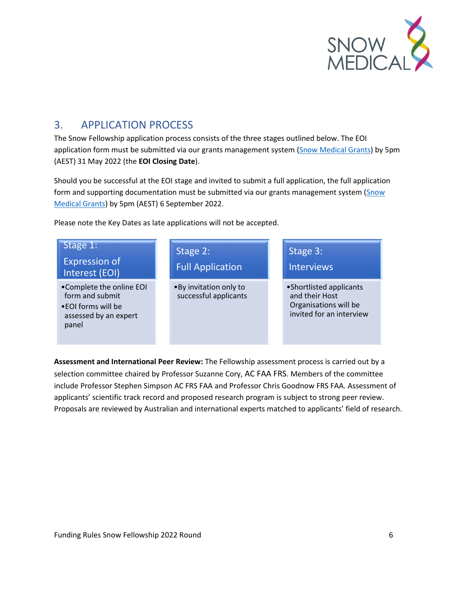

# <span id="page-5-0"></span>3. APPLICATION PROCESS

The Snow Fellowship application process consists of the three stages outlined below. The EOI application form must be submitted via our grants management system [\(Snow Medical Grants\)](https://grants.snowmedical.org.au/) by 5pm (AEST) 31 May 2022 (the **EOI Closing Date**).

Should you be successful at the EOI stage and invited to submit a full application, the full application form and supporting documentation must be submitted via our grants management system (Snow [Medical Grants\)](https://grants.snowmedical.org.au/) by 5pm (AEST) 6 September 2022.

Please note the Key Dates as late applications will not be accepted.



**Assessment and International Peer Review:** The Fellowship assessment process is carried out by a selection committee chaired by Professor Suzanne Cory, AC FAA FRS. Members of the committee include Professor Stephen Simpson AC FRS FAA and Professor Chris Goodnow FRS FAA. Assessment of applicants' scientific track record and proposed research program is subject to strong peer review. Proposals are reviewed by Australian and international experts matched to applicants' field of research.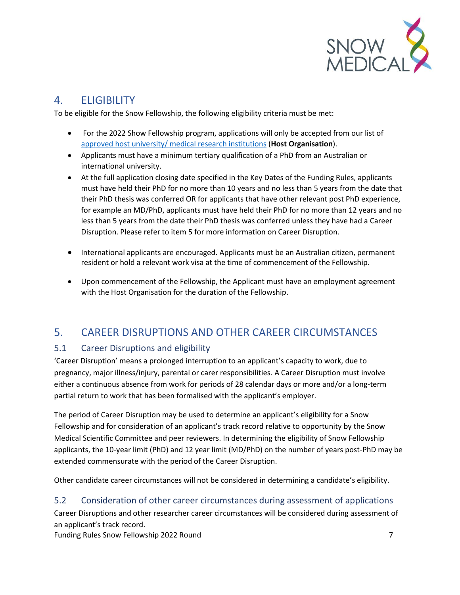

# <span id="page-6-0"></span>4. ELIGIBILITY

To be eligible for the Snow Fellowship, the following eligibility criteria must be met:

- For the 2022 Show Fellowship program, applications will only be accepted from our list of [approved host university/ medical research institutions](https://snowmedical.org.au/wp-content/uploads/2022/01/Eligible-Host-Organisations-FINAL-2022.pdf) (**Host Organisation**).
- Applicants must have a minimum tertiary qualification of a PhD from an Australian or international university.
- At the full application closing date specified in the Key Dates of the Funding Rules, applicants must have held their PhD for no more than 10 years and no less than 5 years from the date that their PhD thesis was conferred OR for applicants that have other relevant post PhD experience, for example an MD/PhD, applicants must have held their PhD for no more than 12 years and no less than 5 years from the date their PhD thesis was conferred unless they have had a Career Disruption. Please refer to item 5 for more information on Career Disruption.
- International applicants are encouraged. Applicants must be an Australian citizen, permanent resident or hold a relevant work visa at the time of commencement of the Fellowship.
- Upon commencement of the Fellowship, the Applicant must have an employment agreement with the Host Organisation for the duration of the Fellowship.

## <span id="page-6-1"></span>5. CAREER DISRUPTIONS AND OTHER CAREER CIRCUMSTANCES

## <span id="page-6-2"></span>5.1 Career Disruptions and eligibility

'Career Disruption' means a prolonged interruption to an applicant's capacity to work, due to pregnancy, major illness/injury, parental or carer responsibilities. A Career Disruption must involve either a continuous absence from work for periods of 28 calendar days or more and/or a long-term partial return to work that has been formalised with the applicant's employer.

The period of Career Disruption may be used to determine an applicant's eligibility for a Snow Fellowship and for consideration of an applicant's track record relative to opportunity by the Snow Medical Scientific Committee and peer reviewers. In determining the eligibility of Snow Fellowship applicants, the 10-year limit (PhD) and 12 year limit (MD/PhD) on the number of years post-PhD may be extended commensurate with the period of the Career Disruption.

Other candidate career circumstances will not be considered in determining a candidate's eligibility.

## <span id="page-6-3"></span>5.2 Consideration of other career circumstances during assessment of applications

Career Disruptions and other researcher career circumstances will be considered during assessment of an applicant's track record.

Funding Rules Snow Fellowship 2022 Round 7 and 7 and 7 and 7 and 7 and 7 and 7 and 7 and 7 and 7 and 7 and 7 and 7 and 7 and 7 and 7 and 7 and 7 and 7 and 7 and 7 and 7 and 7 and 7 and 7 and 7 and 7 and 7 and 7 and 7 and 7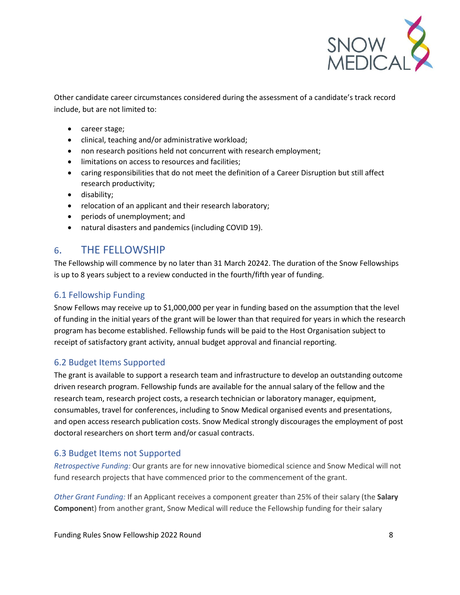

Other candidate career circumstances considered during the assessment of a candidate's track record include, but are not limited to:

- career stage;
- clinical, teaching and/or administrative workload;
- non research positions held not concurrent with research employment;
- limitations on access to resources and facilities;
- caring responsibilities that do not meet the definition of a Career Disruption but still affect research productivity;
- disability;
- relocation of an applicant and their research laboratory;
- periods of unemployment; and
- natural disasters and pandemics (including COVID 19).

## <span id="page-7-0"></span>6. THE FELLOWSHIP

The Fellowship will commence by no later than 31 March 20242. The duration of the Snow Fellowships is up to 8 years subject to a review conducted in the fourth/fifth year of funding.

### <span id="page-7-1"></span>6.1 Fellowship Funding

Snow Fellows may receive up to \$1,000,000 per year in funding based on the assumption that the level of funding in the initial years of the grant will be lower than that required for years in which the research program has become established. Fellowship funds will be paid to the Host Organisation subject to receipt of satisfactory grant activity, annual budget approval and financial reporting.

### <span id="page-7-2"></span>6.2 Budget Items Supported

The grant is available to support a research team and infrastructure to develop an outstanding outcome driven research program. Fellowship funds are available for the annual salary of the fellow and the research team, research project costs, a research technician or laboratory manager, equipment, consumables, travel for conferences, including to Snow Medical organised events and presentations, and open access research publication costs. Snow Medical strongly discourages the employment of post doctoral researchers on short term and/or casual contracts.

### <span id="page-7-3"></span>6.3 Budget Items not Supported

*Retrospective Funding:* Our grants are for new innovative biomedical science and Snow Medical will not fund research projects that have commenced prior to the commencement of the grant.

*Other Grant Funding:* If an Applicant receives a component greater than 25% of their salary (the **Salary Componen**t) from another grant, Snow Medical will reduce the Fellowship funding for their salary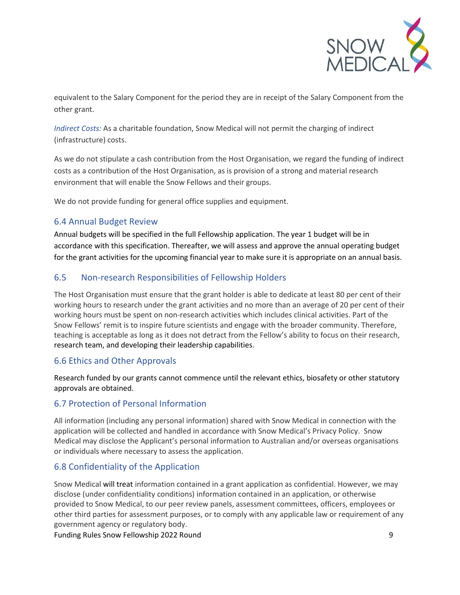

equivalent to the Salary Component for the period they are in receipt of the Salary Component from the other grant.

*Indirect Costs:* As a charitable foundation, Snow Medical will not permit the charging of indirect (infrastructure) costs.

As we do not stipulate a cash contribution from the Host Organisation, we regard the funding of indirect costs as a contribution of the Host Organisation, as is provision of a strong and material research environment that will enable the Snow Fellows and their groups.

We do not provide funding for general office supplies and equipment.

#### <span id="page-8-0"></span>6.4 Annual Budget Review

Annual budgets will be specified in the full Fellowship application. The year 1 budget will be in accordance with this specification. Thereafter, we will assess and approve the annual operating budget for the grant activities for the upcoming financial year to make sure it is appropriate on an annual basis.

### <span id="page-8-1"></span>6.5 Non-research Responsibilities of Fellowship Holders

The Host Organisation must ensure that the grant holder is able to dedicate at least 80 per cent of their working hours to research under the grant activities and no more than an average of 20 per cent of their working hours must be spent on non-research activities which includes clinical activities. Part of the Snow Fellows' remit is to inspire future scientists and engage with the broader community. Therefore, teaching is acceptable as long as it does not detract from the Fellow's ability to focus on their research, research team, and developing their leadership capabilities.

#### <span id="page-8-2"></span>6.6 Ethics and Other Approvals

Research funded by our grants cannot commence until the relevant ethics, biosafety or other statutory approvals are obtained.

### <span id="page-8-3"></span>6.7 Protection of Personal Information

All information (including any personal information) shared with Snow Medical in connection with the application will be collected and handled in accordance with Snow Medical's Privacy Policy. Snow Medical may disclose the Applicant's personal information to Australian and/or overseas organisations or individuals where necessary to assess the application.

### <span id="page-8-4"></span>6.8 Confidentiality of the Application

Snow Medical will treat information contained in a grant application as confidential. However, we may disclose (under confidentiality conditions) information contained in an application, or otherwise provided to Snow Medical, to our peer review panels, assessment committees, officers, employees or other third parties for assessment purposes, or to comply with any applicable law or requirement of any government agency or regulatory body.

Funding Rules Snow Fellowship 2022 Round 9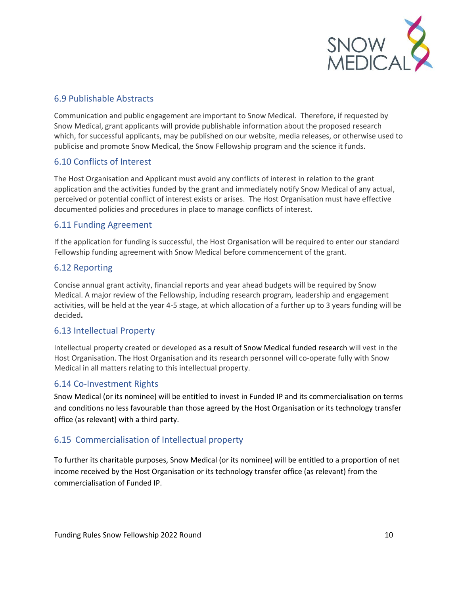

#### <span id="page-9-0"></span>6.9 Publishable Abstracts

Communication and public engagement are important to Snow Medical. Therefore, if requested by Snow Medical, grant applicants will provide publishable information about the proposed research which, for successful applicants, may be published on our website, media releases, or otherwise used to publicise and promote Snow Medical, the Snow Fellowship program and the science it funds.

#### <span id="page-9-1"></span>6.10 Conflicts of Interest

The Host Organisation and Applicant must avoid any conflicts of interest in relation to the grant application and the activities funded by the grant and immediately notify Snow Medical of any actual, perceived or potential conflict of interest exists or arises. The Host Organisation must have effective documented policies and procedures in place to manage conflicts of interest.

#### <span id="page-9-2"></span>6.11 Funding Agreement

If the application for funding is successful, the Host Organisation will be required to enter our standard Fellowship funding agreement with Snow Medical before commencement of the grant.

#### <span id="page-9-3"></span>6.12 Reporting

Concise annual grant activity, financial reports and year ahead budgets will be required by Snow Medical. A major review of the Fellowship, including research program, leadership and engagement activities, will be held at the year 4-5 stage, at which allocation of a further up to 3 years funding will be decided**.** 

#### <span id="page-9-4"></span>6.13 Intellectual Property

Intellectual property created or developed as a result of Snow Medical funded research will vest in the Host Organisation. The Host Organisation and its research personnel will co-operate fully with Snow Medical in all matters relating to this intellectual property.

#### <span id="page-9-5"></span>6.14 Co-Investment Rights

Snow Medical (or its nominee) will be entitled to invest in Funded IP and its commercialisation on terms and conditions no less favourable than those agreed by the Host Organisation or its technology transfer office (as relevant) with a third party.

### <span id="page-9-6"></span>6.15 Commercialisation of Intellectual property

To further its charitable purposes, Snow Medical (or its nominee) will be entitled to a proportion of net income received by the Host Organisation or its technology transfer office (as relevant) from the commercialisation of Funded IP.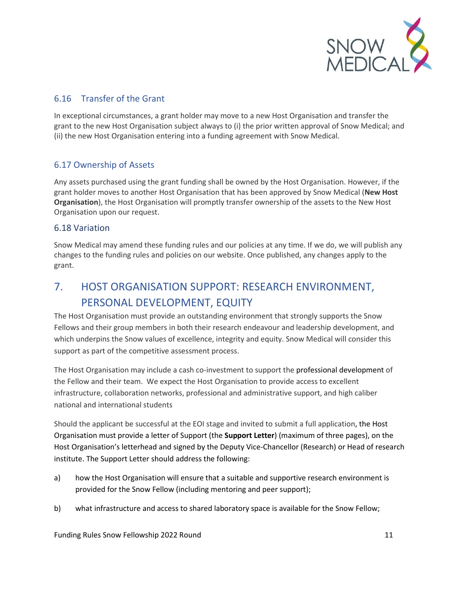

## <span id="page-10-0"></span>6.16 Transfer of the Grant

In exceptional circumstances, a grant holder may move to a new Host Organisation and transfer the grant to the new Host Organisation subject always to (i) the prior written approval of Snow Medical; and (ii) the new Host Organisation entering into a funding agreement with Snow Medical.

### <span id="page-10-1"></span>6.17 Ownership of Assets

Any assets purchased using the grant funding shall be owned by the Host Organisation. However, if the grant holder moves to another Host Organisation that has been approved by Snow Medical (**New Host Organisation**), the Host Organisation will promptly transfer ownership of the assets to the New Host Organisation upon our request.

#### <span id="page-10-2"></span>6.18 Variation

Snow Medical may amend these funding rules and our policies at any time. If we do, we will publish any changes to the funding rules and policies on our website. Once published, any changes apply to the grant.

# <span id="page-10-3"></span>7. HOST ORGANISATION SUPPORT: RESEARCH ENVIRONMENT, PERSONAL DEVELOPMENT, EQUITY

The Host Organisation must provide an outstanding environment that strongly supports the Snow Fellows and their group members in both their research endeavour and leadership development, and which underpins the Snow values of excellence, integrity and equity. Snow Medical will consider this support as part of the competitive assessment process.

The Host Organisation may include a cash co-investment to support the professional development of the Fellow and their team. We expect the Host Organisation to provide access to excellent infrastructure, collaboration networks, professional and administrative support, and high caliber national and international students

Should the applicant be successful at the EOI stage and invited to submit a full application, the Host Organisation must provide a letter of Support (the **Support Letter**) (maximum of three pages), on the Host Organisation's letterhead and signed by the Deputy Vice-Chancellor (Research) or Head of research institute. The Support Letter should address the following:

- a) how the Host Organisation will ensure that a suitable and supportive research environment is provided for the Snow Fellow (including mentoring and peer support);
- b) what infrastructure and access to shared laboratory space is available for the Snow Fellow;

Funding Rules Snow Fellowship 2022 Round 11 and 12 and 12 and 12 and 12 and 12 and 12 and 12 and 12 and 12 and 1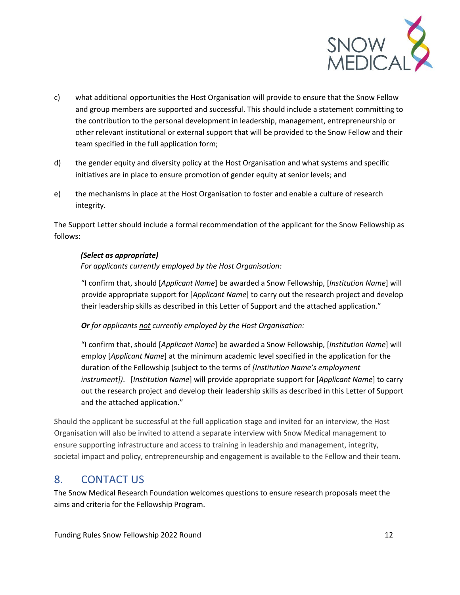

- c) what additional opportunities the Host Organisation will provide to ensure that the Snow Fellow and group members are supported and successful. This should include a statement committing to the contribution to the personal development in leadership, management, entrepreneurship or other relevant institutional or external support that will be provided to the Snow Fellow and their team specified in the full application form;
- d) the gender equity and diversity policy at the Host Organisation and what systems and specific initiatives are in place to ensure promotion of gender equity at senior levels; and
- e) the mechanisms in place at the Host Organisation to foster and enable a culture of research integrity.

The Support Letter should include a formal recommendation of the applicant for the Snow Fellowship as follows:

#### *(Select as appropriate)*

*For applicants currently employed by the Host Organisation:*

"I confirm that, should [*Applicant Name*] be awarded a Snow Fellowship, [*Institution Name*] will provide appropriate support for [*Applicant Name*] to carry out the research project and develop their leadership skills as described in this Letter of Support and the attached application."

#### *Or for applicants not currently employed by the Host Organisation:*

"I confirm that, should [*Applicant Name*] be awarded a Snow Fellowship, [*Institution Name*] will employ [*Applicant Name*] at the minimum academic level specified in the application for the duration of the Fellowship (subject to the terms of *[Institution Name's employment instrument])*. [*Institution Name*] will provide appropriate support for [*Applicant Name*] to carry out the research project and develop their leadership skills as described in this Letter of Support and the attached application."

Should the applicant be successful at the full application stage and invited for an interview, the Host Organisation will also be invited to attend a separate interview with Snow Medical management to ensure supporting infrastructure and access to training in leadership and management, integrity, societal impact and policy, entrepreneurship and engagement is available to the Fellow and their team.

## <span id="page-11-0"></span>8. CONTACT US

The Snow Medical Research Foundation welcomes questions to ensure research proposals meet the aims and criteria for the Fellowship Program.